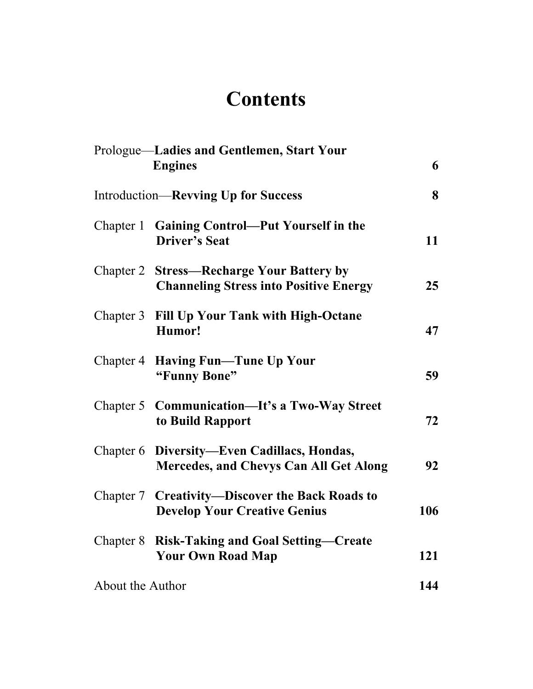## **Contents**

|                  | Prologue-Ladies and Gentlemen, Start Your<br><b>Engines</b>                                | 6   |
|------------------|--------------------------------------------------------------------------------------------|-----|
|                  | <b>Introduction—Revving Up for Success</b>                                                 | 8   |
| Chapter 1        | <b>Gaining Control—Put Yourself in the</b><br><b>Driver's Seat</b>                         | 11  |
|                  | Chapter 2 Stress—Recharge Your Battery by<br><b>Channeling Stress into Positive Energy</b> | 25  |
|                  | Chapter 3 Fill Up Your Tank with High-Octane<br>Humor!                                     | 47  |
|                  | <b>Chapter 4 Having Fun—Tune Up Your</b><br>"Funny Bone"                                   | 59  |
|                  | Chapter 5 Communication—It's a Two-Way Street<br>to Build Rapport                          | 72  |
| Chapter 6        | Diversity-Even Cadillacs, Hondas,<br><b>Mercedes, and Chevys Can All Get Along</b>         | 92  |
|                  | Chapter 7 Creativity—Discover the Back Roads to<br><b>Develop Your Creative Genius</b>     | 106 |
|                  | Chapter 8 Risk-Taking and Goal Setting-Create<br><b>Your Own Road Map</b>                  | 121 |
| About the Author |                                                                                            | 144 |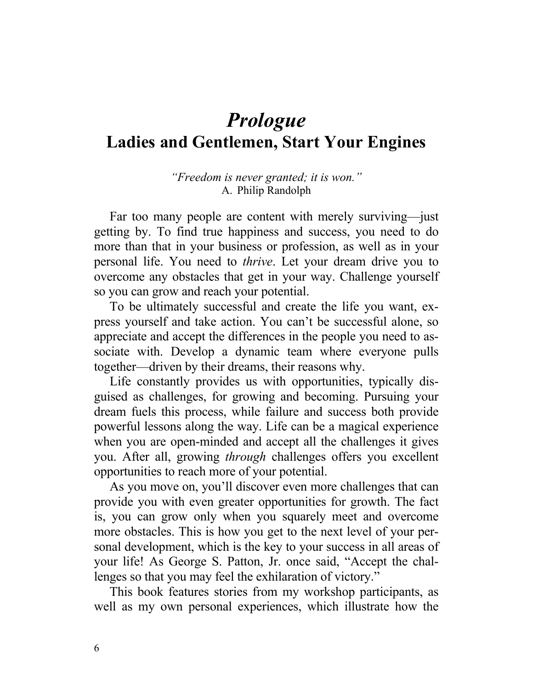### *Prologue*  **Ladies and Gentlemen, Start Your Engines**

*"Freedom is never granted; it is won."*  A. Philip Randolph

Far too many people are content with merely surviving—just getting by. To find true happiness and success, you need to do more than that in your business or profession, as well as in your personal life. You need to *thrive*. Let your dream drive you to overcome any obstacles that get in your way. Challenge yourself so you can grow and reach your potential.

To be ultimately successful and create the life you want, express yourself and take action. You can't be successful alone, so appreciate and accept the differences in the people you need to associate with. Develop a dynamic team where everyone pulls together—driven by their dreams, their reasons why.

Life constantly provides us with opportunities, typically disguised as challenges, for growing and becoming. Pursuing your dream fuels this process, while failure and success both provide powerful lessons along the way. Life can be a magical experience when you are open-minded and accept all the challenges it gives you. After all, growing *through* challenges offers you excellent opportunities to reach more of your potential.

As you move on, you'll discover even more challenges that can provide you with even greater opportunities for growth. The fact is, you can grow only when you squarely meet and overcome more obstacles. This is how you get to the next level of your personal development, which is the key to your success in all areas of your life! As George S. Patton, Jr. once said, "Accept the challenges so that you may feel the exhilaration of victory."

This book features stories from my workshop participants, as well as my own personal experiences, which illustrate how the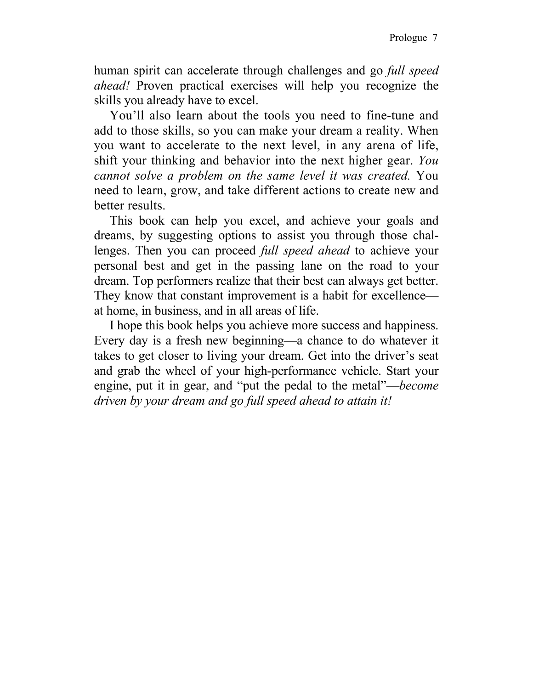human spirit can accelerate through challenges and go *full speed ahead!* Proven practical exercises will help you recognize the skills you already have to excel.

You'll also learn about the tools you need to fine-tune and add to those skills, so you can make your dream a reality. When you want to accelerate to the next level, in any arena of life, shift your thinking and behavior into the next higher gear. *You cannot solve a problem on the same level it was created.* You need to learn, grow, and take different actions to create new and better results.

This book can help you excel, and achieve your goals and dreams, by suggesting options to assist you through those challenges. Then you can proceed *full speed ahead* to achieve your personal best and get in the passing lane on the road to your dream. Top performers realize that their best can always get better. They know that constant improvement is a habit for excellence at home, in business, and in all areas of life.

I hope this book helps you achieve more success and happiness. Every day is a fresh new beginning—a chance to do whatever it takes to get closer to living your dream. Get into the driver's seat and grab the wheel of your high-performance vehicle. Start your engine, put it in gear, and "put the pedal to the metal"—*become driven by your dream and go full speed ahead to attain it!*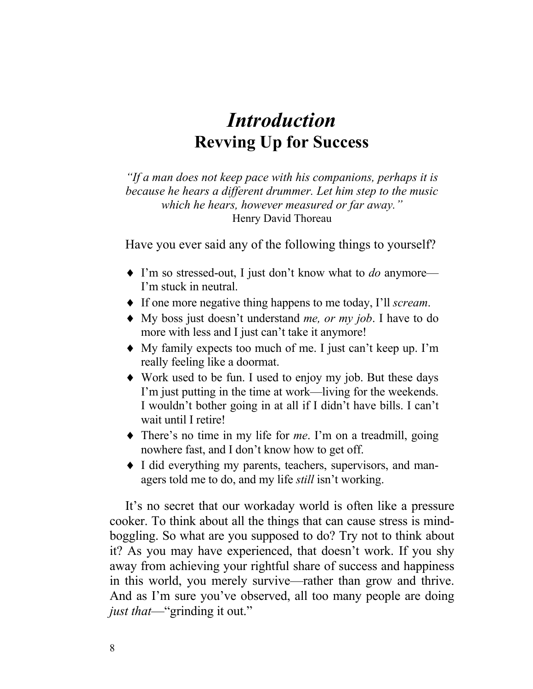## *Introduction*  **Revving Up for Success**

*"If a man does not keep pace with his companions, perhaps it is because he hears a different drummer. Let him step to the music which he hears, however measured or far away."*  Henry David Thoreau

Have you ever said any of the following things to yourself?

- ♦ I'm so stressed-out, I just don't know what to *do* anymore— I'm stuck in neutral.
- ♦ If one more negative thing happens to me today, I'll *scream*.
- ♦ My boss just doesn't understand *me, or my job*. I have to do more with less and I just can't take it anymore!
- ♦ My family expects too much of me. I just can't keep up. I'm really feeling like a doormat.
- ♦ Work used to be fun. I used to enjoy my job. But these days I'm just putting in the time at work—living for the weekends. I wouldn't bother going in at all if I didn't have bills. I can't wait until I retire!
- ♦ There's no time in my life for *me*. I'm on a treadmill, going nowhere fast, and I don't know how to get off.
- ♦ I did everything my parents, teachers, supervisors, and managers told me to do, and my life *still* isn't working.

It's no secret that our workaday world is often like a pressure cooker. To think about all the things that can cause stress is mindboggling. So what are you supposed to do? Try not to think about it? As you may have experienced, that doesn't work. If you shy away from achieving your rightful share of success and happiness in this world, you merely survive—rather than grow and thrive. And as I'm sure you've observed, all too many people are doing *just that*—"grinding it out."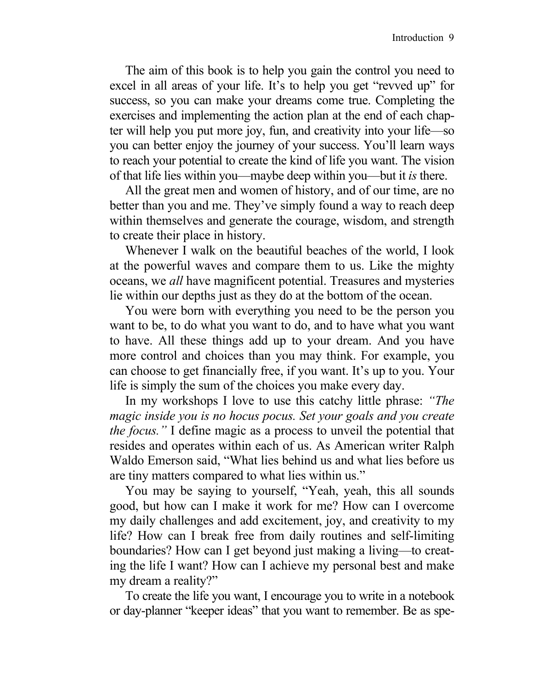The aim of this book is to help you gain the control you need to excel in all areas of your life. It's to help you get "revved up" for success, so you can make your dreams come true. Completing the exercises and implementing the action plan at the end of each chapter will help you put more joy, fun, and creativity into your life—so you can better enjoy the journey of your success. You'll learn ways to reach your potential to create the kind of life you want. The vision of that life lies within you—maybe deep within you—but it *is* there.

All the great men and women of history, and of our time, are no better than you and me. They've simply found a way to reach deep within themselves and generate the courage, wisdom, and strength to create their place in history.

Whenever I walk on the beautiful beaches of the world, I look at the powerful waves and compare them to us. Like the mighty oceans, we *all* have magnificent potential. Treasures and mysteries lie within our depths just as they do at the bottom of the ocean.

You were born with everything you need to be the person you want to be, to do what you want to do, and to have what you want to have. All these things add up to your dream. And you have more control and choices than you may think. For example, you can choose to get financially free, if you want. It's up to you. Your life is simply the sum of the choices you make every day.

In my workshops I love to use this catchy little phrase: *"The magic inside you is no hocus pocus. Set your goals and you create the focus."* I define magic as a process to unveil the potential that resides and operates within each of us. As American writer Ralph Waldo Emerson said, "What lies behind us and what lies before us are tiny matters compared to what lies within us."

You may be saying to yourself, "Yeah, yeah, this all sounds good, but how can I make it work for me? How can I overcome my daily challenges and add excitement, joy, and creativity to my life? How can I break free from daily routines and self-limiting boundaries? How can I get beyond just making a living—to creating the life I want? How can I achieve my personal best and make my dream a reality?"

To create the life you want, I encourage you to write in a notebook or day-planner "keeper ideas" that you want to remember. Be as spe-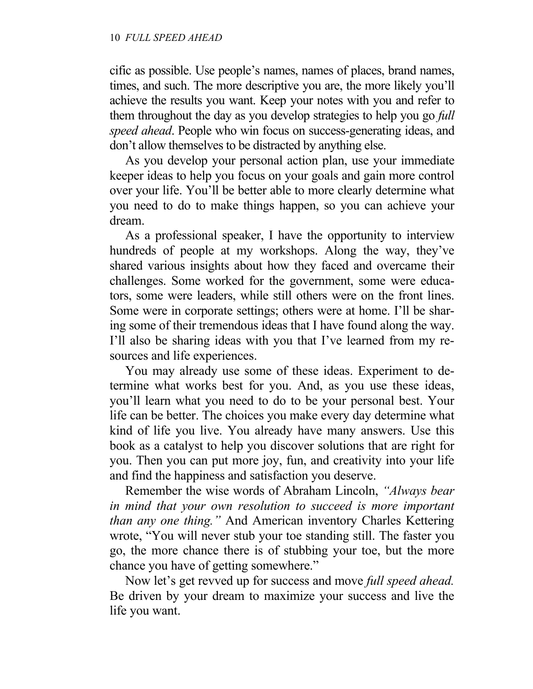cific as possible. Use people's names, names of places, brand names, times, and such. The more descriptive you are, the more likely you'll achieve the results you want. Keep your notes with you and refer to them throughout the day as you develop strategies to help you go *full speed ahead*. People who win focus on success-generating ideas, and don't allow themselves to be distracted by anything else.

As you develop your personal action plan, use your immediate keeper ideas to help you focus on your goals and gain more control over your life. You'll be better able to more clearly determine what you need to do to make things happen, so you can achieve your dream.

As a professional speaker, I have the opportunity to interview hundreds of people at my workshops. Along the way, they've shared various insights about how they faced and overcame their challenges. Some worked for the government, some were educators, some were leaders, while still others were on the front lines. Some were in corporate settings; others were at home. I'll be sharing some of their tremendous ideas that I have found along the way. I'll also be sharing ideas with you that I've learned from my resources and life experiences.

You may already use some of these ideas. Experiment to determine what works best for you. And, as you use these ideas, you'll learn what you need to do to be your personal best. Your life can be better. The choices you make every day determine what kind of life you live. You already have many answers. Use this book as a catalyst to help you discover solutions that are right for you. Then you can put more joy, fun, and creativity into your life and find the happiness and satisfaction you deserve.

Remember the wise words of Abraham Lincoln, *"Always bear in mind that your own resolution to succeed is more important than any one thing."* And American inventory Charles Kettering wrote, "You will never stub your toe standing still. The faster you go, the more chance there is of stubbing your toe, but the more chance you have of getting somewhere."

Now let's get revved up for success and move *full speed ahead.* Be driven by your dream to maximize your success and live the life you want.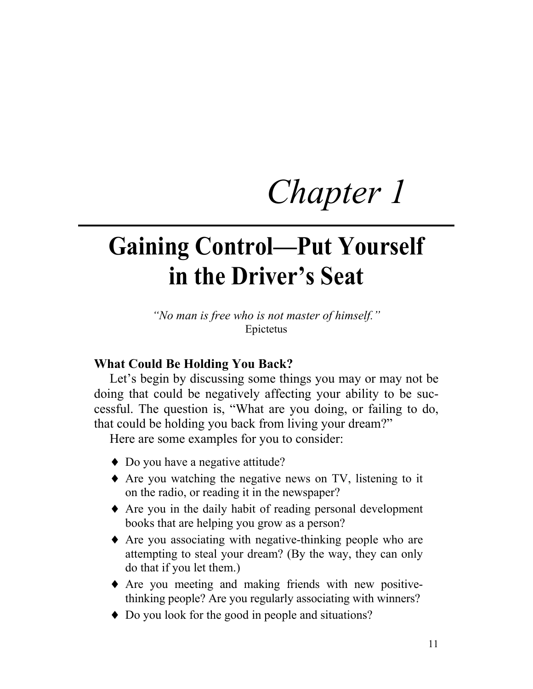*Chapter 1* 

# **Gaining Control—Put Yourself in the Driver's Seat**

*"No man is free who is not master of himself."*  Epictetus

#### **What Could Be Holding You Back?**

Let's begin by discussing some things you may or may not be doing that could be negatively affecting your ability to be successful. The question is, "What are you doing, or failing to do, that could be holding you back from living your dream?"

Here are some examples for you to consider:

- ◆ Do you have a negative attitude?
- ♦ Are you watching the negative news on TV, listening to it on the radio, or reading it in the newspaper?
- ♦ Are you in the daily habit of reading personal development books that are helping you grow as a person?
- ♦ Are you associating with negative-thinking people who are attempting to steal your dream? (By the way, they can only do that if you let them.)
- ♦ Are you meeting and making friends with new positivethinking people? Are you regularly associating with winners?
- ♦ Do you look for the good in people and situations?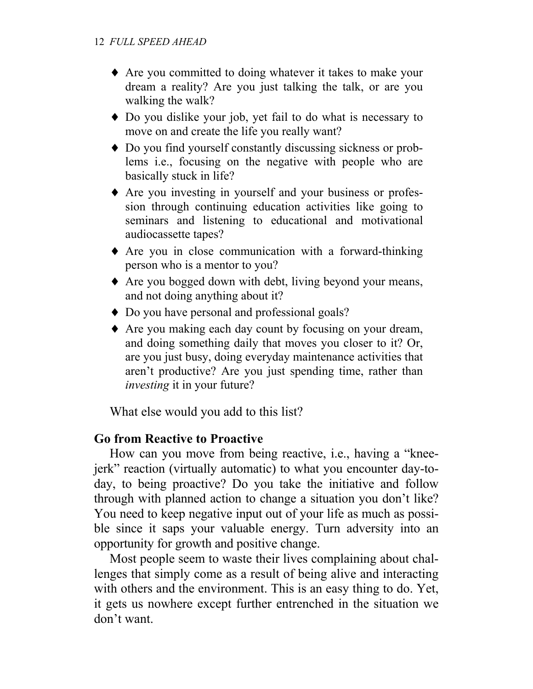- ♦ Are you committed to doing whatever it takes to make your dream a reality? Are you just talking the talk, or are you walking the walk?
- ♦ Do you dislike your job, yet fail to do what is necessary to move on and create the life you really want?
- ♦ Do you find yourself constantly discussing sickness or problems i.e., focusing on the negative with people who are basically stuck in life?
- ♦ Are you investing in yourself and your business or profession through continuing education activities like going to seminars and listening to educational and motivational audiocassette tapes?
- ♦ Are you in close communication with a forward-thinking person who is a mentor to you?
- ♦ Are you bogged down with debt, living beyond your means, and not doing anything about it?
- ♦ Do you have personal and professional goals?
- ♦ Are you making each day count by focusing on your dream, and doing something daily that moves you closer to it? Or, are you just busy, doing everyday maintenance activities that aren't productive? Are you just spending time, rather than *investing* it in your future?

What else would you add to this list?

#### **Go from Reactive to Proactive**

How can you move from being reactive, i.e., having a "kneejerk" reaction (virtually automatic) to what you encounter day-today, to being proactive? Do you take the initiative and follow through with planned action to change a situation you don't like? You need to keep negative input out of your life as much as possible since it saps your valuable energy. Turn adversity into an opportunity for growth and positive change.

Most people seem to waste their lives complaining about challenges that simply come as a result of being alive and interacting with others and the environment. This is an easy thing to do. Yet, it gets us nowhere except further entrenched in the situation we don't want.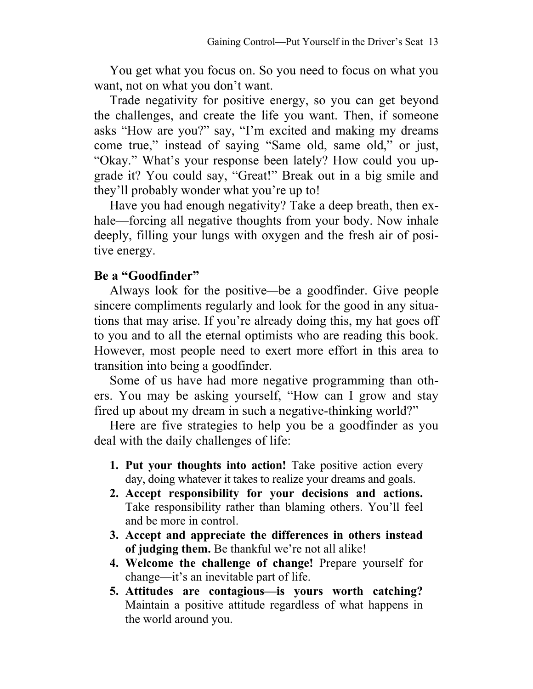You get what you focus on. So you need to focus on what you want, not on what you don't want.

Trade negativity for positive energy, so you can get beyond the challenges, and create the life you want. Then, if someone asks "How are you?" say, "I'm excited and making my dreams come true," instead of saying "Same old, same old," or just, "Okay." What's your response been lately? How could you upgrade it? You could say, "Great!" Break out in a big smile and they'll probably wonder what you're up to!

Have you had enough negativity? Take a deep breath, then exhale—forcing all negative thoughts from your body. Now inhale deeply, filling your lungs with oxygen and the fresh air of positive energy.

#### **Be a "Goodfinder"**

Always look for the positive*—*be a goodfinder. Give people sincere compliments regularly and look for the good in any situations that may arise. If you're already doing this, my hat goes off to you and to all the eternal optimists who are reading this book. However, most people need to exert more effort in this area to transition into being a goodfinder.

Some of us have had more negative programming than others. You may be asking yourself, "How can I grow and stay fired up about my dream in such a negative-thinking world?"

Here are five strategies to help you be a goodfinder as you deal with the daily challenges of life:

- **1. Put your thoughts into action!** Take positive action every day, doing whatever it takes to realize your dreams and goals.
- **2. Accept responsibility for your decisions and actions.** Take responsibility rather than blaming others. You'll feel and be more in control.
- **3. Accept and appreciate the differences in others instead of judging them.** Be thankful we're not all alike!
- **4. Welcome the challenge of change!** Prepare yourself for change—it's an inevitable part of life.
- **5. Attitudes are contagious—is yours worth catching?** Maintain a positive attitude regardless of what happens in the world around you.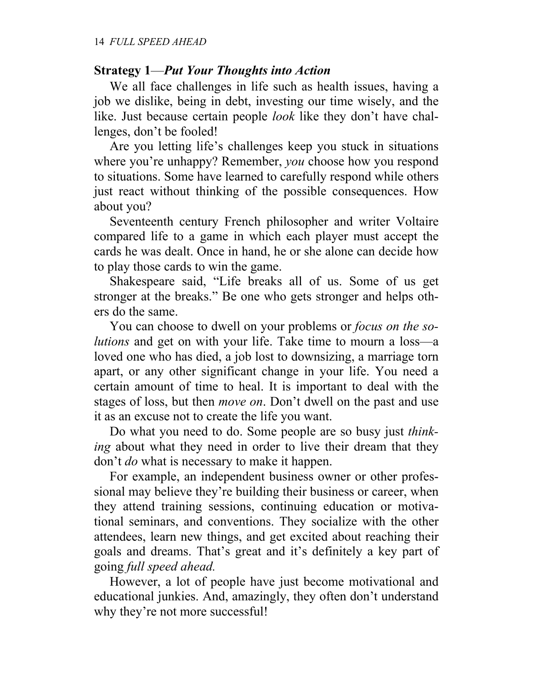#### **Strategy 1**—*Put Your Thoughts into Action*

We all face challenges in life such as health issues, having a job we dislike, being in debt, investing our time wisely, and the like. Just because certain people *look* like they don't have challenges, don't be fooled!

Are you letting life's challenges keep you stuck in situations where you're unhappy? Remember, *you* choose how you respond to situations. Some have learned to carefully respond while others just react without thinking of the possible consequences. How about you?

Seventeenth century French philosopher and writer Voltaire compared life to a game in which each player must accept the cards he was dealt. Once in hand, he or she alone can decide how to play those cards to win the game.

Shakespeare said, "Life breaks all of us. Some of us get stronger at the breaks." Be one who gets stronger and helps others do the same.

You can choose to dwell on your problems or *focus on the solutions* and get on with your life. Take time to mourn a loss—a loved one who has died, a job lost to downsizing, a marriage torn apart, or any other significant change in your life. You need a certain amount of time to heal. It is important to deal with the stages of loss, but then *move on*. Don't dwell on the past and use it as an excuse not to create the life you want.

Do what you need to do. Some people are so busy just *thinking* about what they need in order to live their dream that they don't *do* what is necessary to make it happen.

For example, an independent business owner or other professional may believe they're building their business or career, when they attend training sessions, continuing education or motivational seminars, and conventions. They socialize with the other attendees, learn new things, and get excited about reaching their goals and dreams. That's great and it's definitely a key part of going *full speed ahead.*

However, a lot of people have just become motivational and educational junkies. And, amazingly, they often don't understand why they're not more successful!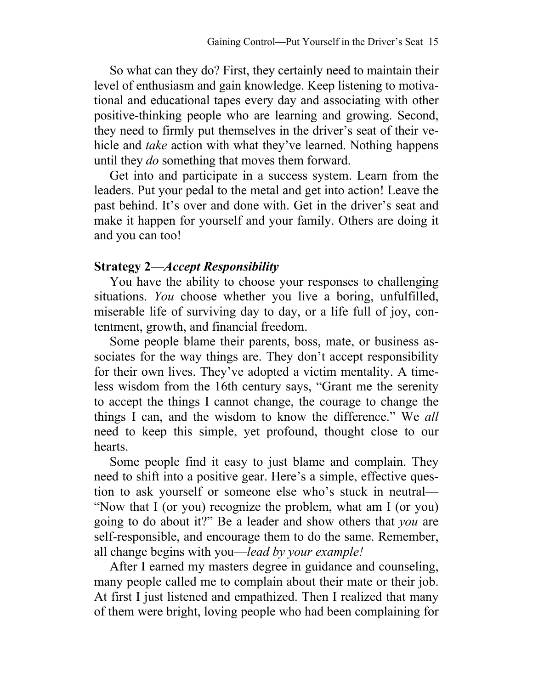So what can they do? First, they certainly need to maintain their level of enthusiasm and gain knowledge. Keep listening to motivational and educational tapes every day and associating with other positive-thinking people who are learning and growing. Second, they need to firmly put themselves in the driver's seat of their vehicle and *take* action with what they've learned. Nothing happens until they *do* something that moves them forward.

Get into and participate in a success system. Learn from the leaders. Put your pedal to the metal and get into action! Leave the past behind. It's over and done with. Get in the driver's seat and make it happen for yourself and your family. Others are doing it and you can too!

#### **Strategy 2**—*Accept Responsibility*

You have the ability to choose your responses to challenging situations. *You* choose whether you live a boring, unfulfilled, miserable life of surviving day to day, or a life full of joy, contentment, growth, and financial freedom.

Some people blame their parents, boss, mate, or business associates for the way things are. They don't accept responsibility for their own lives. They've adopted a victim mentality. A timeless wisdom from the 16th century says, "Grant me the serenity to accept the things I cannot change, the courage to change the things I can, and the wisdom to know the difference." We *all* need to keep this simple, yet profound, thought close to our hearts.

Some people find it easy to just blame and complain. They need to shift into a positive gear. Here's a simple, effective question to ask yourself or someone else who's stuck in neutral— "Now that I (or you) recognize the problem, what am I (or you) going to do about it?" Be a leader and show others that *you* are self-responsible, and encourage them to do the same. Remember, all change begins with you—*lead by your example!* 

After I earned my masters degree in guidance and counseling, many people called me to complain about their mate or their job. At first I just listened and empathized. Then I realized that many of them were bright, loving people who had been complaining for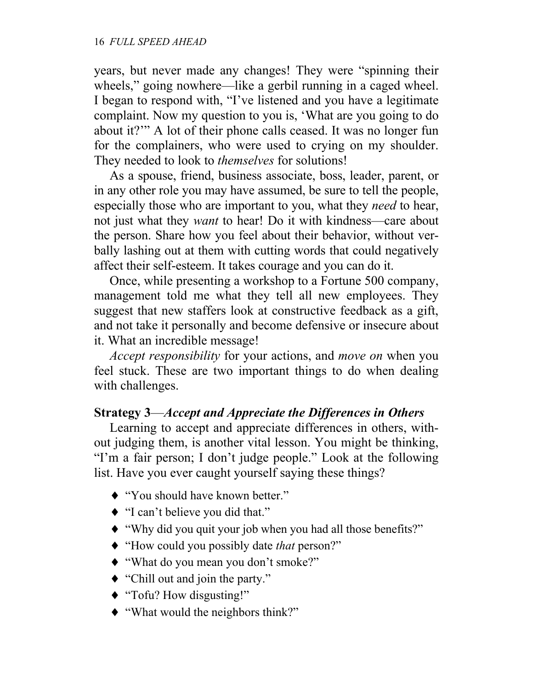years, but never made any changes! They were "spinning their wheels," going nowhere—like a gerbil running in a caged wheel. I began to respond with, "I've listened and you have a legitimate complaint. Now my question to you is, 'What are you going to do about it?'" A lot of their phone calls ceased. It was no longer fun for the complainers, who were used to crying on my shoulder. They needed to look to *themselves* for solutions!

As a spouse, friend, business associate, boss, leader, parent, or in any other role you may have assumed, be sure to tell the people, especially those who are important to you, what they *need* to hear, not just what they *want* to hear! Do it with kindness—care about the person. Share how you feel about their behavior, without verbally lashing out at them with cutting words that could negatively affect their self-esteem. It takes courage and you can do it.

Once, while presenting a workshop to a Fortune 500 company, management told me what they tell all new employees. They suggest that new staffers look at constructive feedback as a gift, and not take it personally and become defensive or insecure about it. What an incredible message!

*Accept responsibility* for your actions, and *move on* when you feel stuck. These are two important things to do when dealing with challenges.

#### **Strategy 3**—*Accept and Appreciate the Differences in Others*

Learning to accept and appreciate differences in others, without judging them, is another vital lesson. You might be thinking, "I'm a fair person; I don't judge people." Look at the following list. Have you ever caught yourself saying these things?

- ♦ "You should have known better."
- ♦ "I can't believe you did that."
- ♦ "Why did you quit your job when you had all those benefits?"
- ♦ "How could you possibly date *that* person?"
- ♦ "What do you mean you don't smoke?"
- ♦ "Chill out and join the party."
- ♦ "Tofu? How disgusting!"
- ♦ "What would the neighbors think?"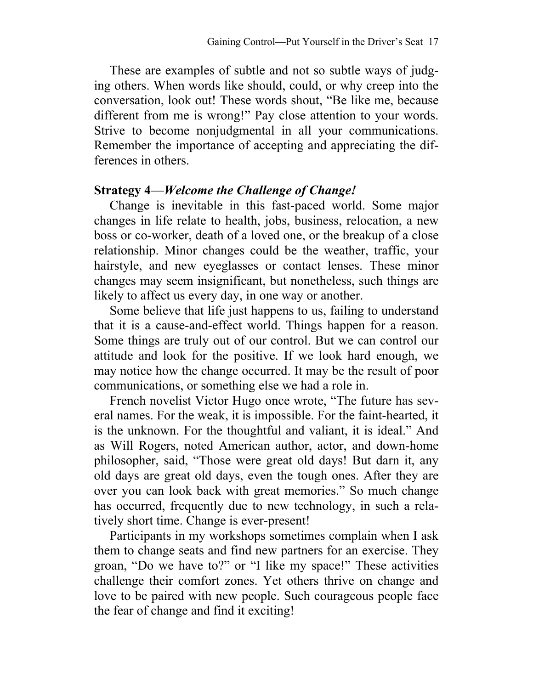These are examples of subtle and not so subtle ways of judging others. When words like should, could, or why creep into the conversation, look out! These words shout, "Be like me, because different from me is wrong!" Pay close attention to your words. Strive to become nonjudgmental in all your communications. Remember the importance of accepting and appreciating the differences in others.

#### **Strategy 4**—*Welcome the Challenge of Change!*

Change is inevitable in this fast-paced world. Some major changes in life relate to health, jobs, business, relocation, a new boss or co-worker, death of a loved one, or the breakup of a close relationship. Minor changes could be the weather, traffic, your hairstyle, and new eyeglasses or contact lenses. These minor changes may seem insignificant, but nonetheless, such things are likely to affect us every day, in one way or another.

Some believe that life just happens to us, failing to understand that it is a cause-and-effect world. Things happen for a reason. Some things are truly out of our control. But we can control our attitude and look for the positive. If we look hard enough, we may notice how the change occurred. It may be the result of poor communications, or something else we had a role in.

French novelist Victor Hugo once wrote, "The future has several names. For the weak, it is impossible. For the faint-hearted, it is the unknown. For the thoughtful and valiant, it is ideal." And as Will Rogers, noted American author, actor, and down-home philosopher, said, "Those were great old days! But darn it, any old days are great old days, even the tough ones. After they are over you can look back with great memories." So much change has occurred, frequently due to new technology, in such a relatively short time. Change is ever-present!

Participants in my workshops sometimes complain when I ask them to change seats and find new partners for an exercise. They groan, "Do we have to?" or "I like my space!" These activities challenge their comfort zones. Yet others thrive on change and love to be paired with new people. Such courageous people face the fear of change and find it exciting!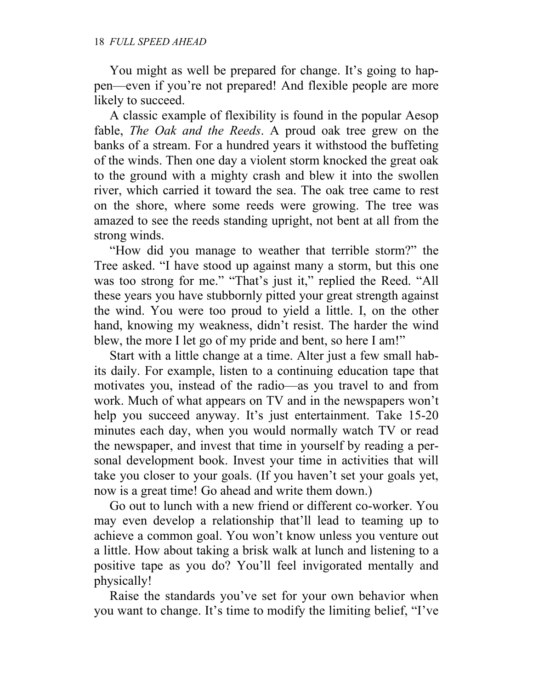You might as well be prepared for change. It's going to happen—even if you're not prepared! And flexible people are more likely to succeed.

A classic example of flexibility is found in the popular Aesop fable, *The Oak and the Reeds*. A proud oak tree grew on the banks of a stream. For a hundred years it withstood the buffeting of the winds. Then one day a violent storm knocked the great oak to the ground with a mighty crash and blew it into the swollen river, which carried it toward the sea. The oak tree came to rest on the shore, where some reeds were growing. The tree was amazed to see the reeds standing upright, not bent at all from the strong winds.

"How did you manage to weather that terrible storm?" the Tree asked. "I have stood up against many a storm, but this one was too strong for me." "That's just it," replied the Reed. "All these years you have stubbornly pitted your great strength against the wind. You were too proud to yield a little. I, on the other hand, knowing my weakness, didn't resist. The harder the wind blew, the more I let go of my pride and bent, so here I am!"

Start with a little change at a time. Alter just a few small habits daily. For example, listen to a continuing education tape that motivates you, instead of the radio—as you travel to and from work. Much of what appears on TV and in the newspapers won't help you succeed anyway. It's just entertainment. Take 15-20 minutes each day, when you would normally watch TV or read the newspaper, and invest that time in yourself by reading a personal development book. Invest your time in activities that will take you closer to your goals. (If you haven't set your goals yet, now is a great time! Go ahead and write them down.)

Go out to lunch with a new friend or different co-worker. You may even develop a relationship that'll lead to teaming up to achieve a common goal. You won't know unless you venture out a little. How about taking a brisk walk at lunch and listening to a positive tape as you do? You'll feel invigorated mentally and physically!

Raise the standards you've set for your own behavior when you want to change. It's time to modify the limiting belief, "I've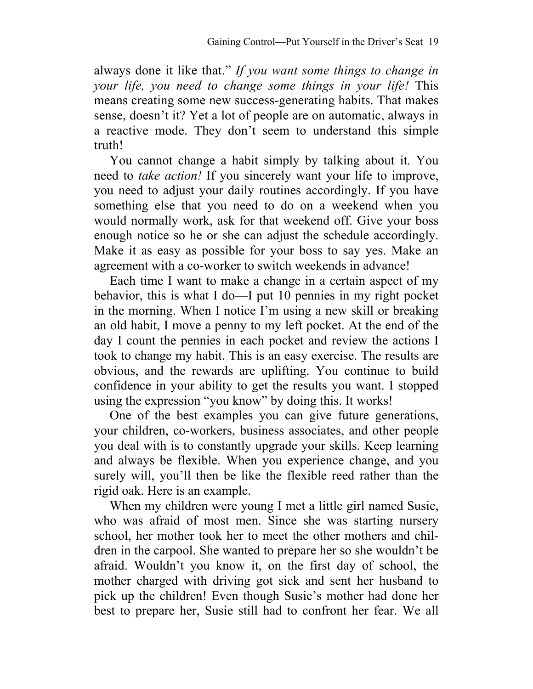always done it like that." *If you want some things to change in your life, you need to change some things in your life!* This means creating some new success-generating habits. That makes sense, doesn't it? Yet a lot of people are on automatic, always in a reactive mode. They don't seem to understand this simple truth!

You cannot change a habit simply by talking about it. You need to *take action!* If you sincerely want your life to improve, you need to adjust your daily routines accordingly. If you have something else that you need to do on a weekend when you would normally work, ask for that weekend off. Give your boss enough notice so he or she can adjust the schedule accordingly. Make it as easy as possible for your boss to say yes. Make an agreement with a co-worker to switch weekends in advance!

Each time I want to make a change in a certain aspect of my behavior, this is what I do—I put 10 pennies in my right pocket in the morning. When I notice I'm using a new skill or breaking an old habit, I move a penny to my left pocket. At the end of the day I count the pennies in each pocket and review the actions I took to change my habit. This is an easy exercise. The results are obvious, and the rewards are uplifting. You continue to build confidence in your ability to get the results you want. I stopped using the expression "you know" by doing this. It works!

One of the best examples you can give future generations, your children, co-workers, business associates, and other people you deal with is to constantly upgrade your skills. Keep learning and always be flexible. When you experience change, and you surely will, you'll then be like the flexible reed rather than the rigid oak. Here is an example.

When my children were young I met a little girl named Susie, who was afraid of most men. Since she was starting nursery school, her mother took her to meet the other mothers and children in the carpool. She wanted to prepare her so she wouldn't be afraid. Wouldn't you know it, on the first day of school, the mother charged with driving got sick and sent her husband to pick up the children! Even though Susie's mother had done her best to prepare her, Susie still had to confront her fear. We all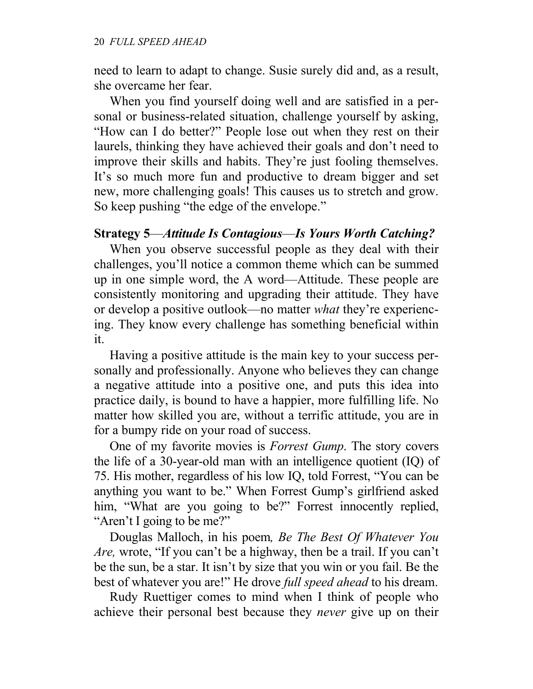need to learn to adapt to change. Susie surely did and, as a result, she overcame her fear.

When you find yourself doing well and are satisfied in a personal or business-related situation, challenge yourself by asking, "How can I do better?" People lose out when they rest on their laurels, thinking they have achieved their goals and don't need to improve their skills and habits. They're just fooling themselves. It's so much more fun and productive to dream bigger and set new, more challenging goals! This causes us to stretch and grow. So keep pushing "the edge of the envelope."

#### **Strategy 5**—*Attitude Is Contagious*—*Is Yours Worth Catching?*

When you observe successful people as they deal with their challenges, you'll notice a common theme which can be summed up in one simple word, the A word—Attitude. These people are consistently monitoring and upgrading their attitude. They have or develop a positive outlook—no matter *what* they're experiencing. They know every challenge has something beneficial within it.

Having a positive attitude is the main key to your success personally and professionally. Anyone who believes they can change a negative attitude into a positive one, and puts this idea into practice daily, is bound to have a happier, more fulfilling life. No matter how skilled you are, without a terrific attitude, you are in for a bumpy ride on your road of success.

One of my favorite movies is *Forrest Gump*. The story covers the life of a 30-year-old man with an intelligence quotient (IQ) of 75. His mother, regardless of his low IQ, told Forrest, "You can be anything you want to be." When Forrest Gump's girlfriend asked him, "What are you going to be?" Forrest innocently replied, "Aren't I going to be me?"

Douglas Malloch, in his poem*, Be The Best Of Whatever You Are,* wrote, "If you can't be a highway, then be a trail. If you can't be the sun, be a star. It isn't by size that you win or you fail. Be the best of whatever you are!" He drove *full speed ahead* to his dream.

Rudy Ruettiger comes to mind when I think of people who achieve their personal best because they *never* give up on their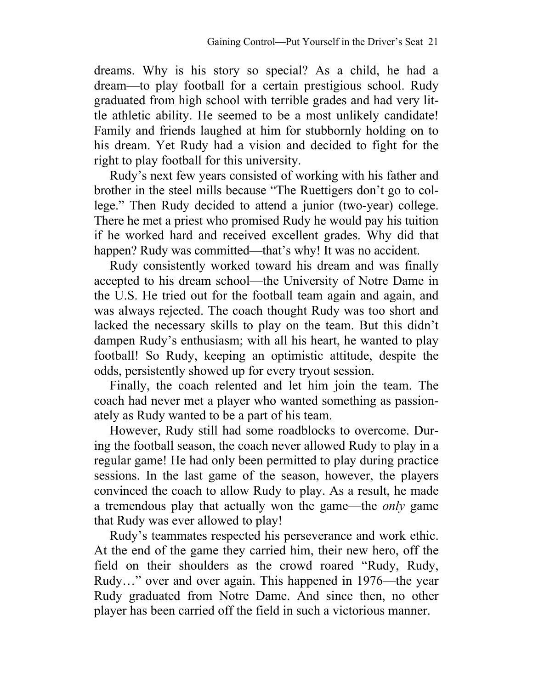dreams. Why is his story so special? As a child, he had a dream—to play football for a certain prestigious school. Rudy graduated from high school with terrible grades and had very little athletic ability. He seemed to be a most unlikely candidate! Family and friends laughed at him for stubbornly holding on to his dream. Yet Rudy had a vision and decided to fight for the right to play football for this university.

Rudy's next few years consisted of working with his father and brother in the steel mills because "The Ruettigers don't go to college." Then Rudy decided to attend a junior (two-year) college. There he met a priest who promised Rudy he would pay his tuition if he worked hard and received excellent grades. Why did that happen? Rudy was committed—that's why! It was no accident.

Rudy consistently worked toward his dream and was finally accepted to his dream school—the University of Notre Dame in the U.S. He tried out for the football team again and again, and was always rejected. The coach thought Rudy was too short and lacked the necessary skills to play on the team. But this didn't dampen Rudy's enthusiasm; with all his heart, he wanted to play football! So Rudy, keeping an optimistic attitude, despite the odds, persistently showed up for every tryout session.

Finally, the coach relented and let him join the team. The coach had never met a player who wanted something as passionately as Rudy wanted to be a part of his team.

However, Rudy still had some roadblocks to overcome. During the football season, the coach never allowed Rudy to play in a regular game! He had only been permitted to play during practice sessions. In the last game of the season, however, the players convinced the coach to allow Rudy to play. As a result, he made a tremendous play that actually won the game—the *only* game that Rudy was ever allowed to play!

Rudy's teammates respected his perseverance and work ethic. At the end of the game they carried him, their new hero, off the field on their shoulders as the crowd roared "Rudy, Rudy, Rudy…" over and over again. This happened in 1976—the year Rudy graduated from Notre Dame. And since then, no other player has been carried off the field in such a victorious manner.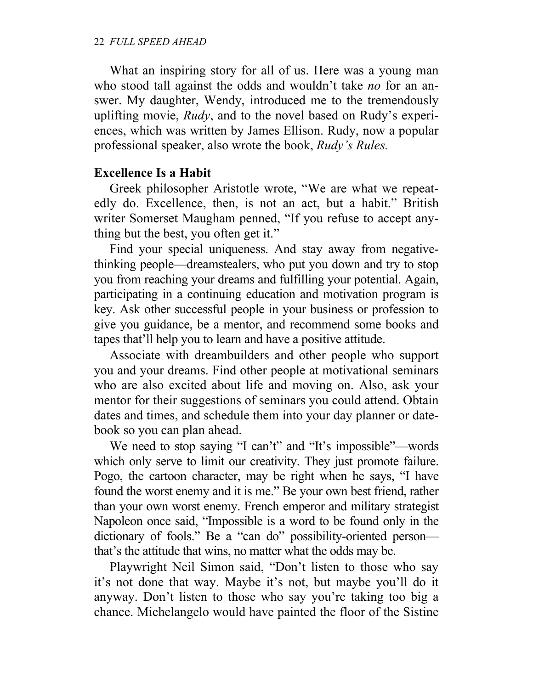What an inspiring story for all of us. Here was a young man who stood tall against the odds and wouldn't take *no* for an answer. My daughter, Wendy, introduced me to the tremendously uplifting movie, *Rudy*, and to the novel based on Rudy's experiences, which was written by James Ellison. Rudy, now a popular professional speaker, also wrote the book, *Rudy's Rules.* 

#### **Excellence Is a Habit**

Greek philosopher Aristotle wrote, "We are what we repeatedly do. Excellence, then, is not an act, but a habit." British writer Somerset Maugham penned, "If you refuse to accept anything but the best, you often get it."

Find your special uniqueness. And stay away from negativethinking people—dreamstealers, who put you down and try to stop you from reaching your dreams and fulfilling your potential. Again, participating in a continuing education and motivation program is key. Ask other successful people in your business or profession to give you guidance, be a mentor, and recommend some books and tapes that'll help you to learn and have a positive attitude.

Associate with dreambuilders and other people who support you and your dreams. Find other people at motivational seminars who are also excited about life and moving on. Also, ask your mentor for their suggestions of seminars you could attend. Obtain dates and times, and schedule them into your day planner or datebook so you can plan ahead.

We need to stop saying "I can't" and "It's impossible"—words which only serve to limit our creativity. They just promote failure. Pogo, the cartoon character, may be right when he says, "I have found the worst enemy and it is me." Be your own best friend, rather than your own worst enemy. French emperor and military strategist Napoleon once said, "Impossible is a word to be found only in the dictionary of fools." Be a "can do" possibility-oriented person that's the attitude that wins, no matter what the odds may be.

Playwright Neil Simon said, "Don't listen to those who say it's not done that way. Maybe it's not, but maybe you'll do it anyway. Don't listen to those who say you're taking too big a chance. Michelangelo would have painted the floor of the Sistine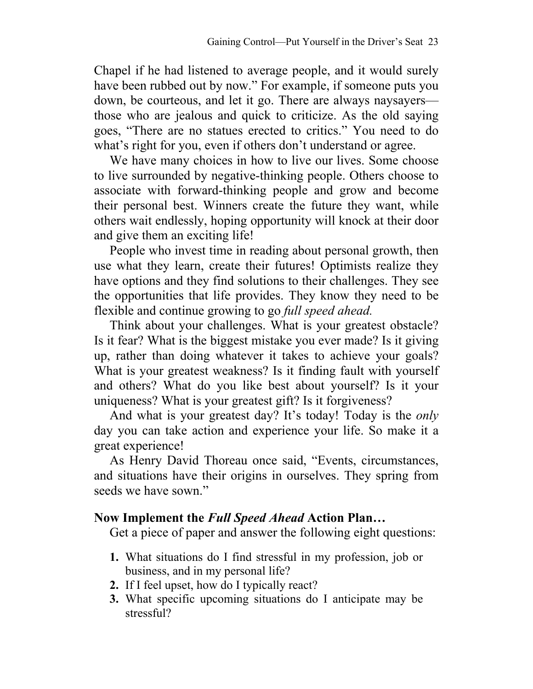Chapel if he had listened to average people, and it would surely have been rubbed out by now." For example, if someone puts you down, be courteous, and let it go. There are always naysayers those who are jealous and quick to criticize. As the old saying goes, "There are no statues erected to critics." You need to do what's right for you, even if others don't understand or agree.

We have many choices in how to live our lives. Some choose to live surrounded by negative-thinking people. Others choose to associate with forward-thinking people and grow and become their personal best. Winners create the future they want, while others wait endlessly, hoping opportunity will knock at their door and give them an exciting life!

People who invest time in reading about personal growth, then use what they learn, create their futures! Optimists realize they have options and they find solutions to their challenges. They see the opportunities that life provides. They know they need to be flexible and continue growing to go *full speed ahead.* 

Think about your challenges. What is your greatest obstacle? Is it fear? What is the biggest mistake you ever made? Is it giving up, rather than doing whatever it takes to achieve your goals? What is your greatest weakness? Is it finding fault with yourself and others? What do you like best about yourself? Is it your uniqueness? What is your greatest gift? Is it forgiveness?

And what is your greatest day? It's today! Today is the *only* day you can take action and experience your life. So make it a great experience!

As Henry David Thoreau once said, "Events, circumstances, and situations have their origins in ourselves. They spring from seeds we have sown."

#### **Now Implement the** *Full Speed Ahead* **Action Plan…**

Get a piece of paper and answer the following eight questions:

- **1.** What situations do I find stressful in my profession, job or business, and in my personal life?
- **2.** If I feel upset, how do I typically react?
- **3.** What specific upcoming situations do I anticipate may be stressful?